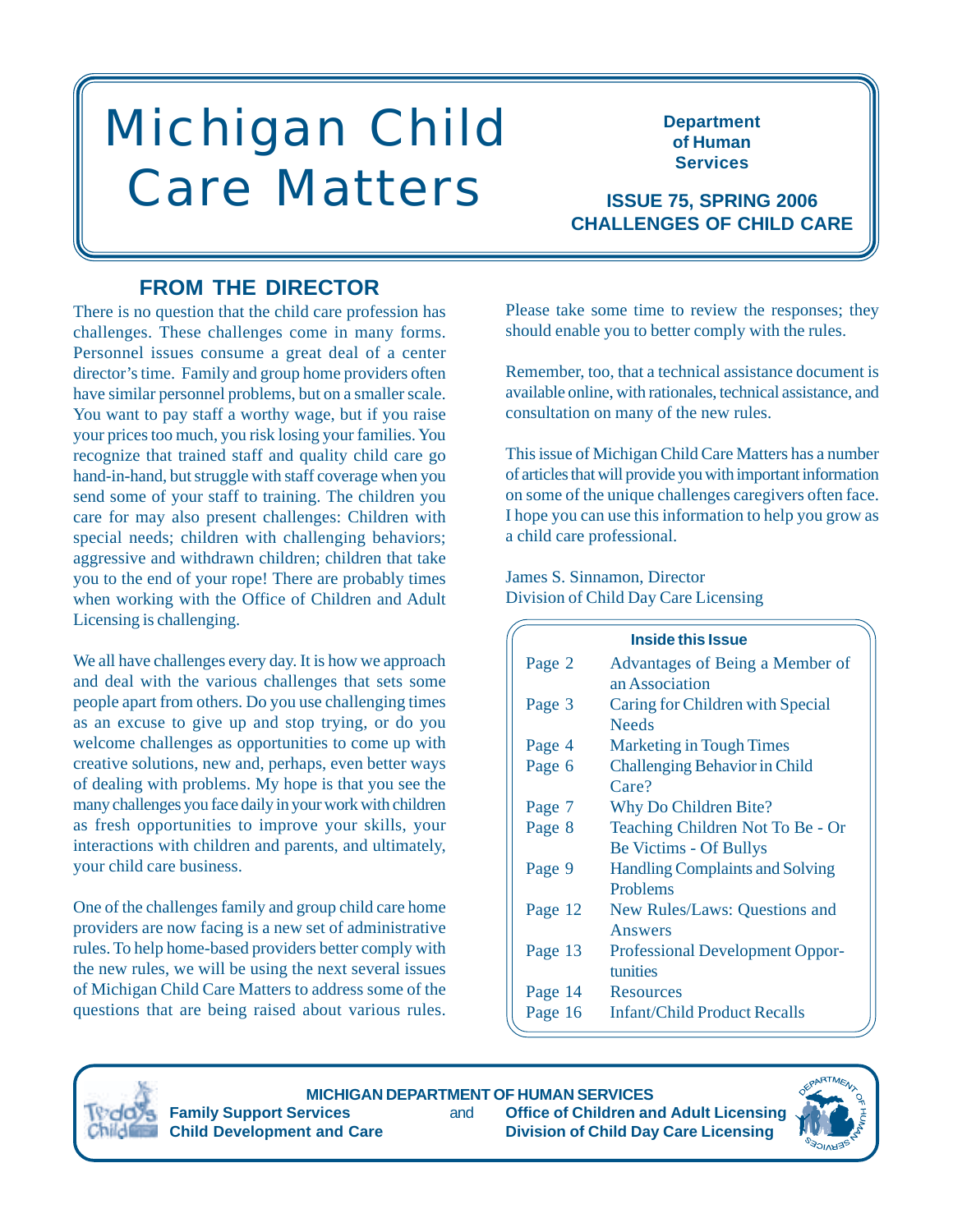# Michigan Child Care Matters **ISSUE 75, SPRING 2006**

**Department of Human Services**

**CHALLENGES OF CHILD CARE**

# **FROM THE DIRECTOR**

There is no question that the child care profession has challenges. These challenges come in many forms. Personnel issues consume a great deal of a center director's time. Family and group home providers often have similar personnel problems, but on a smaller scale. You want to pay staff a worthy wage, but if you raise your prices too much, you risk losing your families. You recognize that trained staff and quality child care go hand-in-hand, but struggle with staff coverage when you send some of your staff to training. The children you care for may also present challenges: Children with special needs; children with challenging behaviors; aggressive and withdrawn children; children that take you to the end of your rope! There are probably times when working with the Office of Children and Adult Licensing is challenging.

We all have challenges every day. It is how we approach and deal with the various challenges that sets some people apart from others. Do you use challenging times as an excuse to give up and stop trying, or do you welcome challenges as opportunities to come up with creative solutions, new and, perhaps, even better ways of dealing with problems. My hope is that you see the many challenges you face daily in your work with children as fresh opportunities to improve your skills, your interactions with children and parents, and ultimately, your child care business.

One of the challenges family and group child care home providers are now facing is a new set of administrative rules. To help home-based providers better comply with the new rules, we will be using the next several issues of Michigan Child Care Matters to address some of the questions that are being raised about various rules. Please take some time to review the responses; they should enable you to better comply with the rules.

Remember, too, that a technical assistance document is available online, with rationales, technical assistance, and consultation on many of the new rules.

This issue of Michigan Child Care Matters has a number of articles that will provide you with important information on some of the unique challenges caregivers often face. I hope you can use this information to help you grow as a child care professional.

James S. Sinnamon, Director Division of Child Day Care Licensing

| <b>Inside this Issue</b> |                                        |  |
|--------------------------|----------------------------------------|--|
| Page 2                   | Advantages of Being a Member of        |  |
|                          | an Association                         |  |
| Page 3                   | Caring for Children with Special       |  |
|                          | <b>Needs</b>                           |  |
| Page 4                   | <b>Marketing in Tough Times</b>        |  |
| Page 6                   | <b>Challenging Behavior in Child</b>   |  |
|                          | Care?                                  |  |
| Page 7                   | Why Do Children Bite?                  |  |
| Page 8                   | Teaching Children Not To Be - Or       |  |
|                          | <b>Be Victims - Of Bullys</b>          |  |
| Page 9                   | <b>Handling Complaints and Solving</b> |  |
|                          | Problems                               |  |
| Page 12                  | New Rules/Laws: Questions and          |  |
|                          | Answers                                |  |
| Page 13                  | <b>Professional Development Oppor-</b> |  |
|                          | tunities                               |  |
| Page 14                  | Resources                              |  |
| Page 16                  | <b>Infant/Child Product Recalls</b>    |  |



**MICHIGAN DEPARTMENT OF HUMAN SERVICES Family Support Services** and **Office of Children and Adult Licensing**

**Child Development and Care Child Day Care Licensing Child Day Care Licensing** 

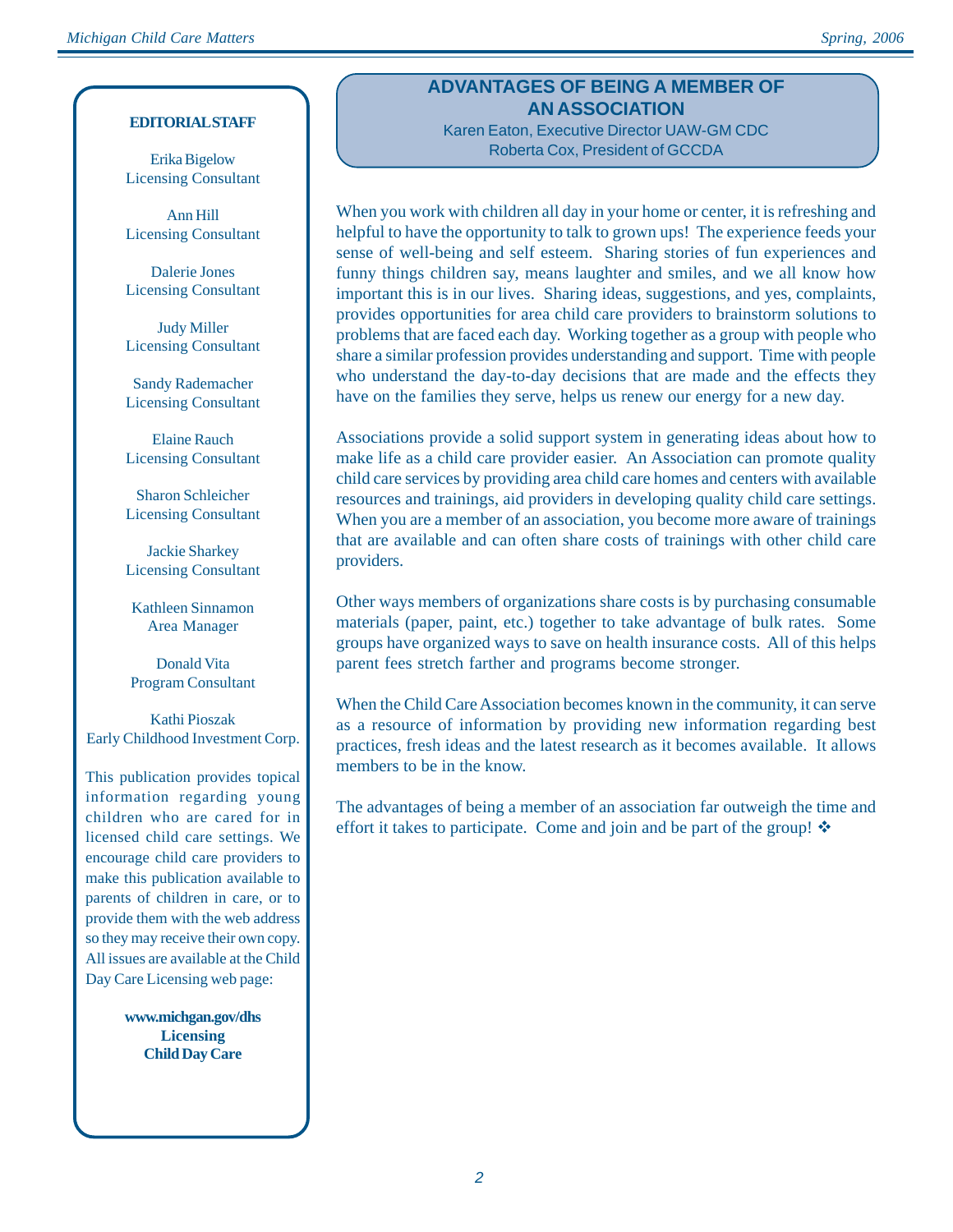#### **EDITORIAL STAFF**

Erika Bigelow Licensing Consultant

Ann Hill Licensing Consultant

Dalerie Jones Licensing Consultant

Judy Miller Licensing Consultant

Sandy Rademacher Licensing Consultant

Elaine Rauch Licensing Consultant

Sharon Schleicher Licensing Consultant

Jackie Sharkey Licensing Consultant

Kathleen Sinnamon Area Manager

Donald Vita Program Consultant

Kathi Pioszak Early Childhood Investment Corp.

This publication provides topical information regarding young children who are cared for in licensed child care settings. We encourage child care providers to make this publication available to parents of children in care, or to provide them with the web address so they may receive their own copy. All issues are available at the Child Day Care Licensing web page:

> **www.michgan.gov/dhs Licensing Child Day Care**

## **ADVANTAGES OF BEING A MEMBER OF AN ASSOCIATION** Karen Eaton, Executive Director UAW-GM CDC

Roberta Cox, President of GCCDA

When you work with children all day in your home or center, it is refreshing and helpful to have the opportunity to talk to grown ups! The experience feeds your sense of well-being and self esteem. Sharing stories of fun experiences and funny things children say, means laughter and smiles, and we all know how important this is in our lives. Sharing ideas, suggestions, and yes, complaints, provides opportunities for area child care providers to brainstorm solutions to problems that are faced each day. Working together as a group with people who share a similar profession provides understanding and support. Time with people who understand the day-to-day decisions that are made and the effects they have on the families they serve, helps us renew our energy for a new day.

Associations provide a solid support system in generating ideas about how to make life as a child care provider easier. An Association can promote quality child care services by providing area child care homes and centers with available resources and trainings, aid providers in developing quality child care settings. When you are a member of an association, you become more aware of trainings that are available and can often share costs of trainings with other child care providers.

Other ways members of organizations share costs is by purchasing consumable materials (paper, paint, etc.) together to take advantage of bulk rates. Some groups have organized ways to save on health insurance costs. All of this helps parent fees stretch farther and programs become stronger.

When the Child Care Association becomes known in the community, it can serve as a resource of information by providing new information regarding best practices, fresh ideas and the latest research as it becomes available. It allows members to be in the know.

The advantages of being a member of an association far outweigh the time and effort it takes to participate. Come and join and be part of the group!  $\mathbf{\hat{P}}$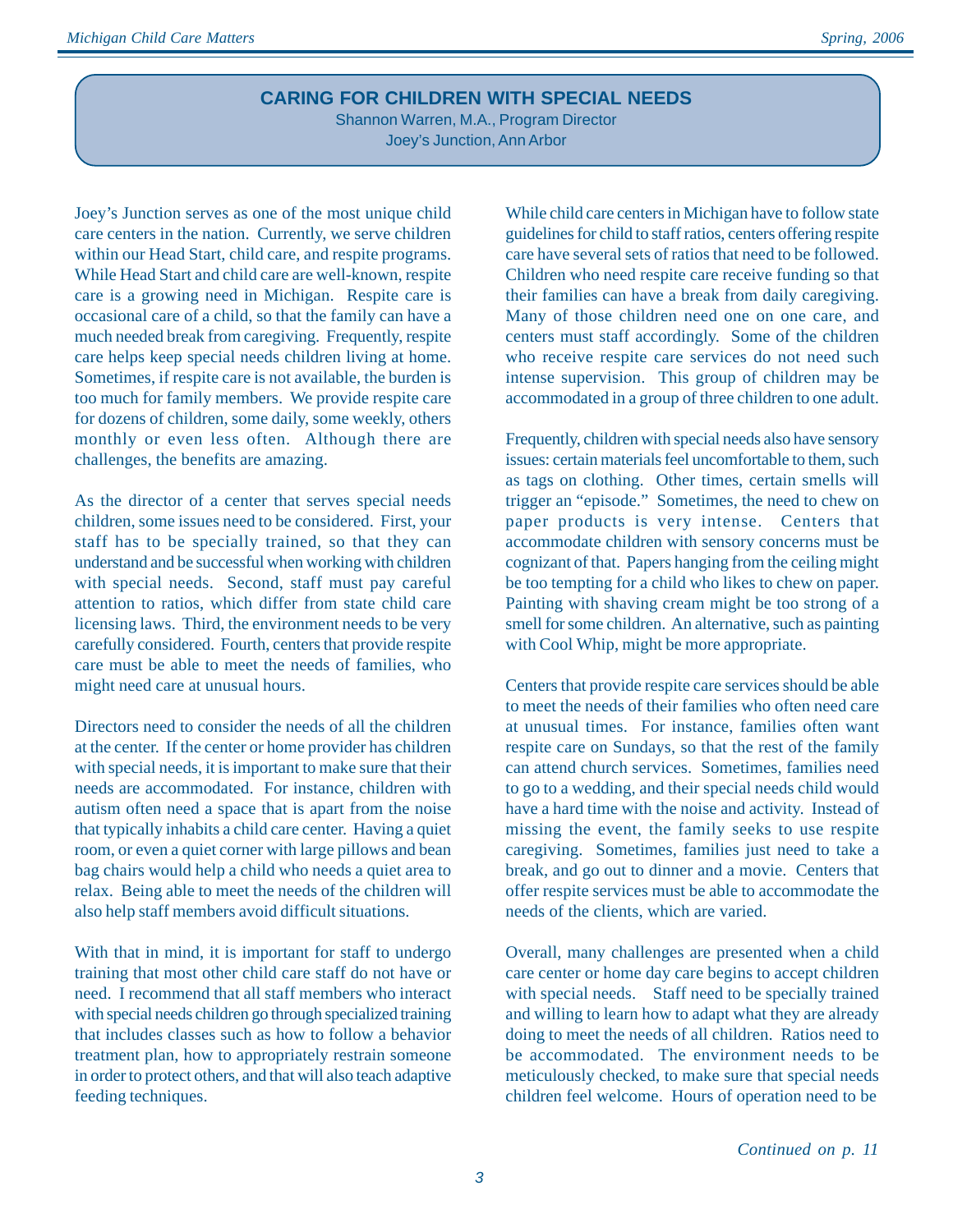## **CARING FOR CHILDREN WITH SPECIAL NEEDS**

Shannon Warren, M.A., Program Director Joey's Junction, Ann Arbor

Joey's Junction serves as one of the most unique child care centers in the nation. Currently, we serve children within our Head Start, child care, and respite programs. While Head Start and child care are well-known, respite care is a growing need in Michigan. Respite care is occasional care of a child, so that the family can have a much needed break from caregiving. Frequently, respite care helps keep special needs children living at home. Sometimes, if respite care is not available, the burden is too much for family members. We provide respite care for dozens of children, some daily, some weekly, others monthly or even less often. Although there are challenges, the benefits are amazing.

As the director of a center that serves special needs children, some issues need to be considered. First, your staff has to be specially trained, so that they can understand and be successful when working with children with special needs. Second, staff must pay careful attention to ratios, which differ from state child care licensing laws. Third, the environment needs to be very carefully considered. Fourth, centers that provide respite care must be able to meet the needs of families, who might need care at unusual hours.

Directors need to consider the needs of all the children at the center. If the center or home provider has children with special needs, it is important to make sure that their needs are accommodated. For instance, children with autism often need a space that is apart from the noise that typically inhabits a child care center. Having a quiet room, or even a quiet corner with large pillows and bean bag chairs would help a child who needs a quiet area to relax. Being able to meet the needs of the children will also help staff members avoid difficult situations.

With that in mind, it is important for staff to undergo training that most other child care staff do not have or need. I recommend that all staff members who interact with special needs children go through specialized training that includes classes such as how to follow a behavior treatment plan, how to appropriately restrain someone in order to protect others, and that will also teach adaptive feeding techniques.

While child care centers in Michigan have to follow state guidelines for child to staff ratios, centers offering respite care have several sets of ratios that need to be followed. Children who need respite care receive funding so that their families can have a break from daily caregiving. Many of those children need one on one care, and centers must staff accordingly. Some of the children who receive respite care services do not need such intense supervision. This group of children may be accommodated in a group of three children to one adult.

Frequently, children with special needs also have sensory issues: certain materials feel uncomfortable to them, such as tags on clothing. Other times, certain smells will trigger an "episode." Sometimes, the need to chew on paper products is very intense. Centers that accommodate children with sensory concerns must be cognizant of that. Papers hanging from the ceiling might be too tempting for a child who likes to chew on paper. Painting with shaving cream might be too strong of a smell for some children. An alternative, such as painting with Cool Whip, might be more appropriate.

Centers that provide respite care services should be able to meet the needs of their families who often need care at unusual times. For instance, families often want respite care on Sundays, so that the rest of the family can attend church services. Sometimes, families need to go to a wedding, and their special needs child would have a hard time with the noise and activity. Instead of missing the event, the family seeks to use respite caregiving. Sometimes, families just need to take a break, and go out to dinner and a movie. Centers that offer respite services must be able to accommodate the needs of the clients, which are varied.

Overall, many challenges are presented when a child care center or home day care begins to accept children with special needs. Staff need to be specially trained and willing to learn how to adapt what they are already doing to meet the needs of all children. Ratios need to be accommodated. The environment needs to be meticulously checked, to make sure that special needs children feel welcome. Hours of operation need to be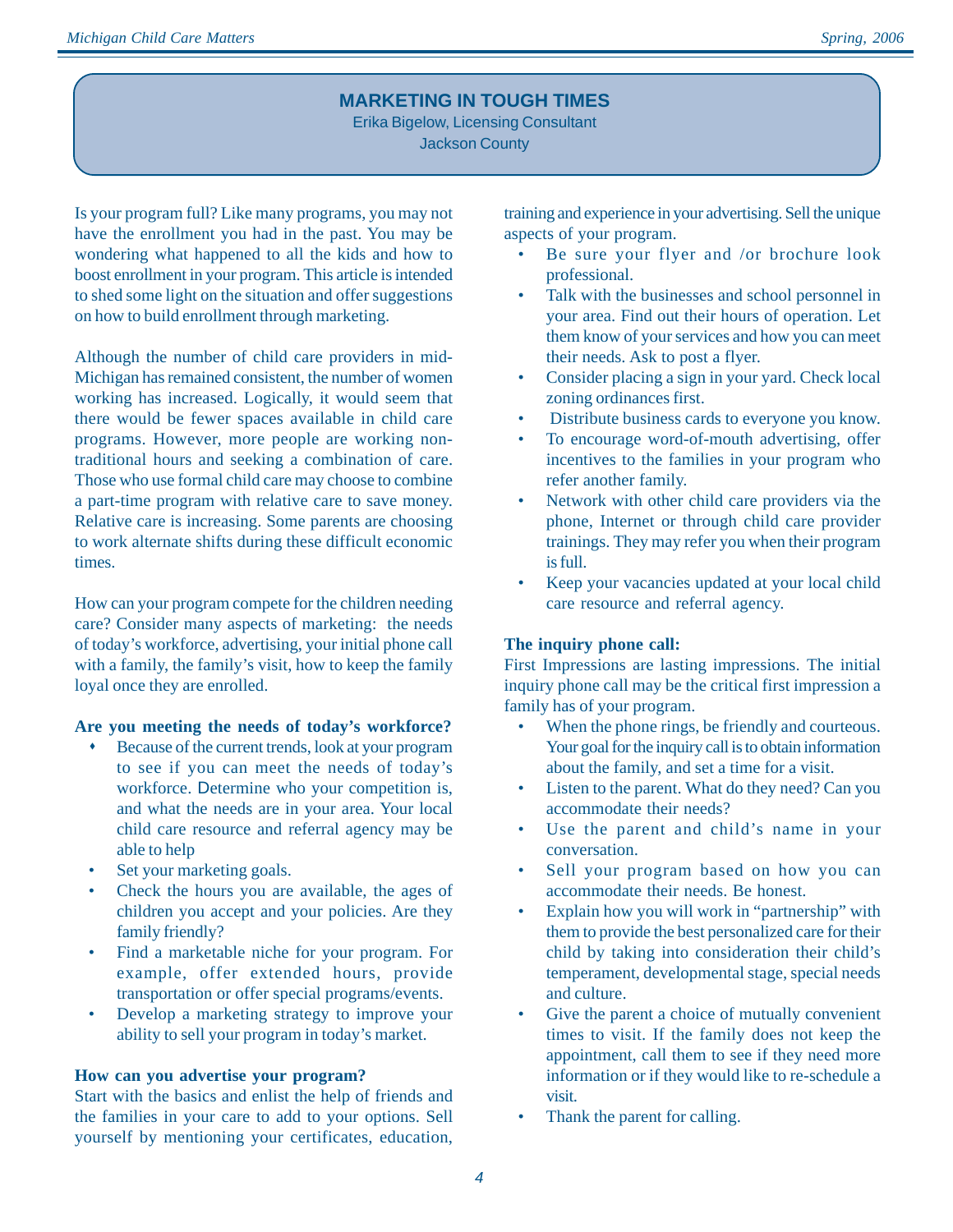## **MARKETING IN TOUGH TIMES**

Erika Bigelow, Licensing Consultant Jackson County

Is your program full? Like many programs, you may not have the enrollment you had in the past. You may be wondering what happened to all the kids and how to boost enrollment in your program. This article is intended to shed some light on the situation and offer suggestions on how to build enrollment through marketing.

Although the number of child care providers in mid-Michigan has remained consistent, the number of women working has increased. Logically, it would seem that there would be fewer spaces available in child care programs. However, more people are working nontraditional hours and seeking a combination of care. Those who use formal child care may choose to combine a part-time program with relative care to save money. Relative care is increasing. Some parents are choosing to work alternate shifts during these difficult economic times.

How can your program compete for the children needing care? Consider many aspects of marketing: the needs of today's workforce, advertising, your initial phone call with a family, the family's visit, how to keep the family loyal once they are enrolled.

#### **Are you meeting the needs of today's workforce?**

- Because of the current trends, look at your program to see if you can meet the needs of today's workforce. Determine who your competition is, and what the needs are in your area. Your local child care resource and referral agency may be able to help
- Set your marketing goals.
- Check the hours you are available, the ages of children you accept and your policies. Are they family friendly?
- Find a marketable niche for your program. For example, offer extended hours, provide transportation or offer special programs/events.
- Develop a marketing strategy to improve your ability to sell your program in today's market.

#### **How can you advertise your program?**

Start with the basics and enlist the help of friends and the families in your care to add to your options. Sell yourself by mentioning your certificates, education,

training and experience in your advertising. Sell the unique aspects of your program.

- Be sure your flyer and /or brochure look professional.
- Talk with the businesses and school personnel in your area. Find out their hours of operation. Let them know of your services and how you can meet their needs. Ask to post a flyer.
- Consider placing a sign in your yard. Check local zoning ordinances first.
- Distribute business cards to everyone you know.
- To encourage word-of-mouth advertising, offer incentives to the families in your program who refer another family.
- Network with other child care providers via the phone, Internet or through child care provider trainings. They may refer you when their program is full.
- Keep your vacancies updated at your local child care resource and referral agency.

#### **The inquiry phone call:**

First Impressions are lasting impressions. The initial inquiry phone call may be the critical first impression a family has of your program.

- When the phone rings, be friendly and courteous. Your goal for the inquiry call is to obtain information about the family, and set a time for a visit.
- Listen to the parent. What do they need? Can you accommodate their needs?
- Use the parent and child's name in your conversation.
- Sell your program based on how you can accommodate their needs. Be honest.
- Explain how you will work in "partnership" with them to provide the best personalized care for their child by taking into consideration their child's temperament, developmental stage, special needs and culture.
- Give the parent a choice of mutually convenient times to visit. If the family does not keep the appointment, call them to see if they need more information or if they would like to re-schedule a visit.
- Thank the parent for calling.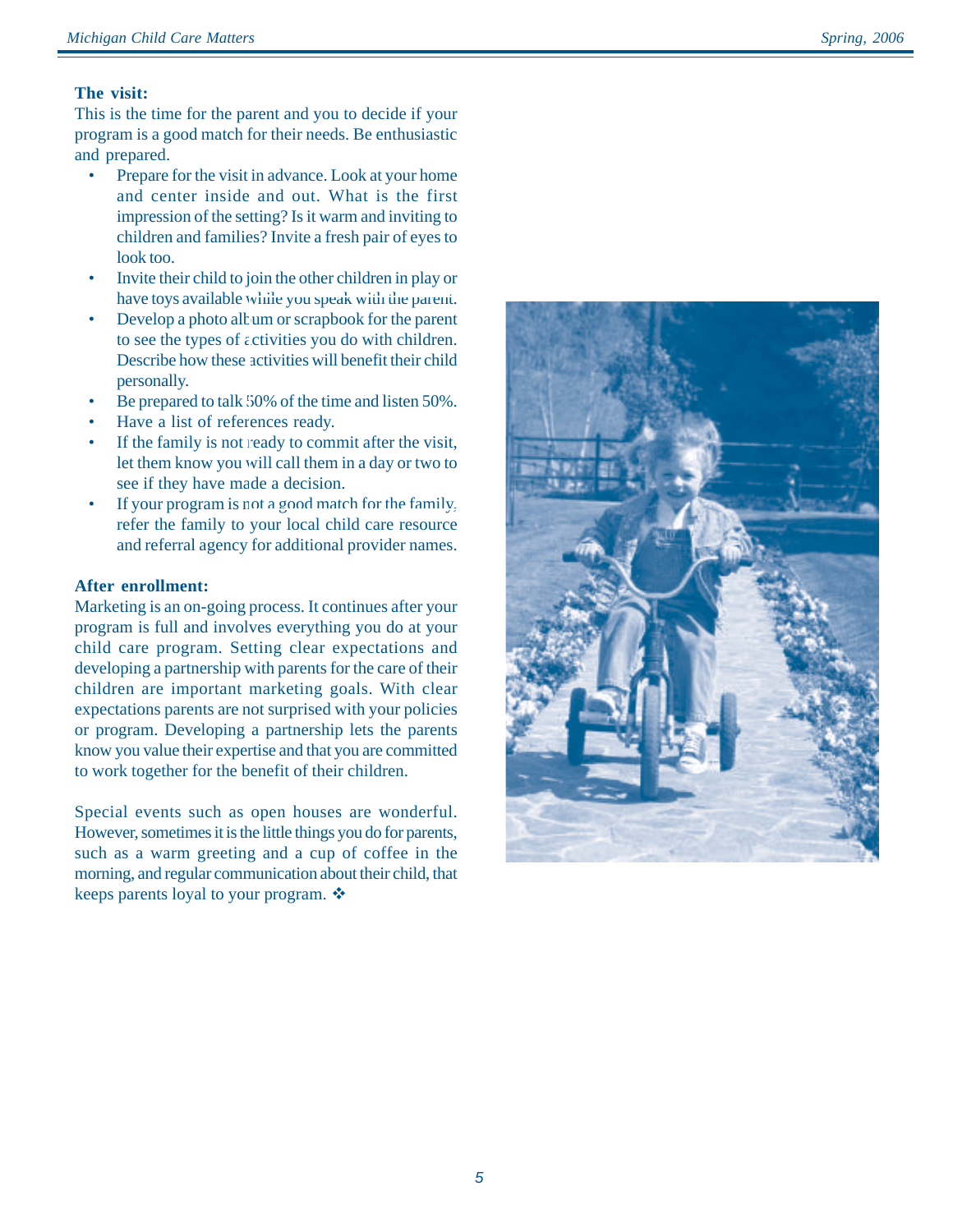#### **The visit:**

This is the time for the parent and you to decide if your program is a good match for their needs. Be enthusiastic and prepared.

- Prepare for the visit in advance. Look at your home and center inside and out. What is the first impression of the setting? Is it warm and inviting to children and families? Invite a fresh pair of eyes to look too.
- Invite their child to join the other children in play or have toys available while you speak with the parent.
- Develop a photo album or scrapbook for the parent to see the types of activities you do with children. Describe how these activities will benefit their child personally.
- Be prepared to talk 50% of the time and listen 50%.
- Have a list of references ready.
- If the family is not ready to commit after the visit, let them know you will call them in a day or two to see if they have made a decision.
- If your program is not a good match for the family, refer the family to your local child care resource and referral agency for additional provider names.

#### **After enrollment:**

Marketing is an on-going process. It continues after your program is full and involves everything you do at your child care program. Setting clear expectations and developing a partnership with parents for the care of their children are important marketing goals. With clear expectations parents are not surprised with your policies or program. Developing a partnership lets the parents know you value their expertise and that you are committed to work together for the benefit of their children.

Special events such as open houses are wonderful. However, sometimes it is the little things you do for parents, such as a warm greeting and a cup of coffee in the morning, and regular communication about their child, that keeps parents loyal to your program.  $\mathbf{\hat{\cdot}}$ 

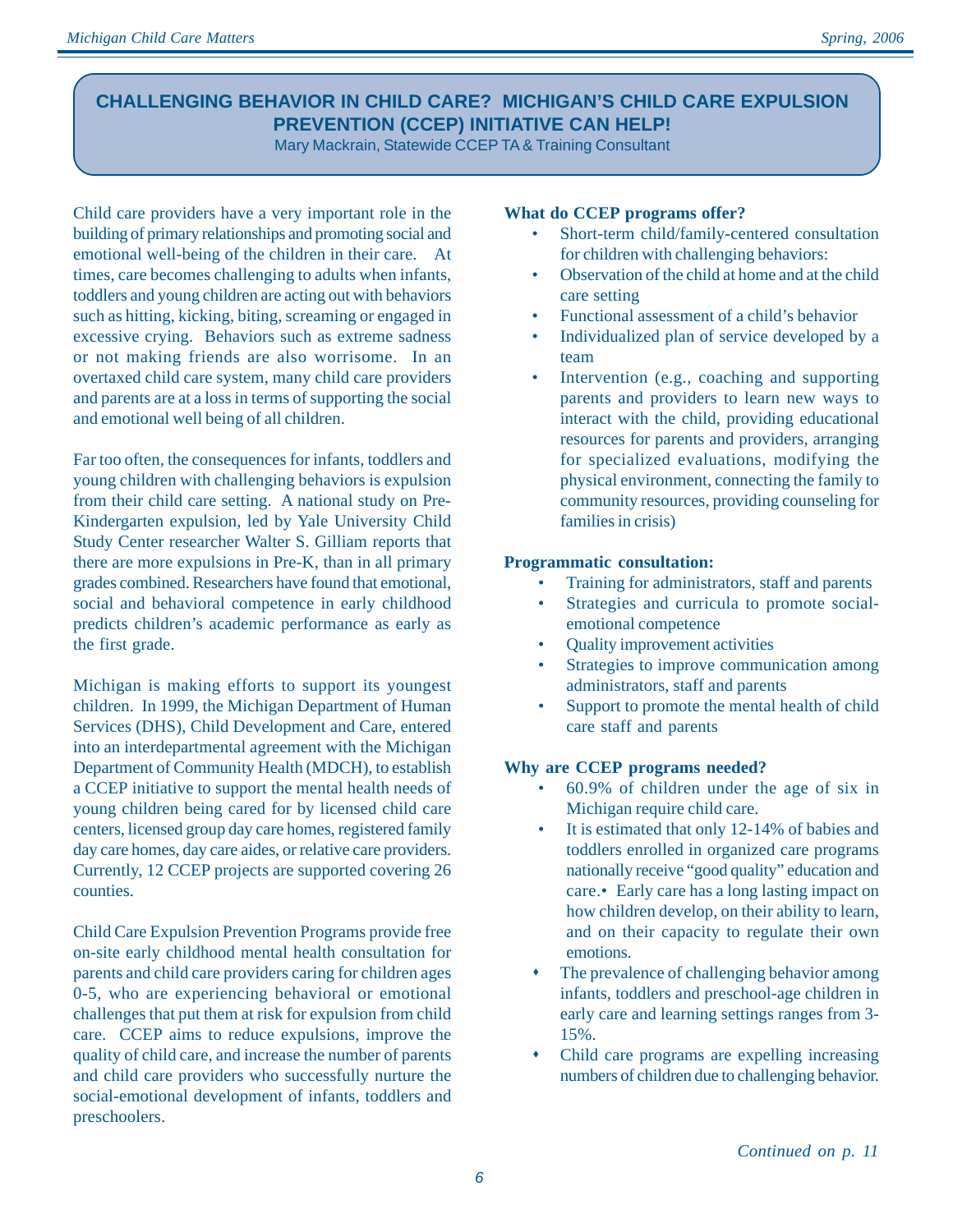# **CHALLENGING BEHAVIOR IN CHILD CARE? MICHIGAN'S CHILD CARE EXPULSION PREVENTION (CCEP) INITIATIVE CAN HELP!**

Mary Mackrain, Statewide CCEP TA & Training Consultant

Child care providers have a very important role in the building of primary relationships and promoting social and emotional well-being of the children in their care. At times, care becomes challenging to adults when infants, toddlers and young children are acting out with behaviors such as hitting, kicking, biting, screaming or engaged in excessive crying. Behaviors such as extreme sadness or not making friends are also worrisome. In an overtaxed child care system, many child care providers and parents are at a loss in terms of supporting the social and emotional well being of all children.

Far too often, the consequences for infants, toddlers and young children with challenging behaviors is expulsion from their child care setting. A national study on Pre-Kindergarten expulsion, led by Yale University Child Study Center researcher Walter S. Gilliam reports that there are more expulsions in Pre-K, than in all primary grades combined. Researchers have found that emotional, social and behavioral competence in early childhood predicts children's academic performance as early as the first grade.

Michigan is making efforts to support its youngest children. In 1999, the Michigan Department of Human Services (DHS), Child Development and Care, entered into an interdepartmental agreement with the Michigan Department of Community Health (MDCH), to establish a CCEP initiative to support the mental health needs of young children being cared for by licensed child care centers, licensed group day care homes, registered family day care homes, day care aides, or relative care providers. Currently, 12 CCEP projects are supported covering 26 counties.

Child Care Expulsion Prevention Programs provide free on-site early childhood mental health consultation for parents and child care providers caring for children ages 0-5, who are experiencing behavioral or emotional challenges that put them at risk for expulsion from child care. CCEP aims to reduce expulsions, improve the quality of child care, and increase the number of parents and child care providers who successfully nurture the social-emotional development of infants, toddlers and preschoolers.

#### **What do CCEP programs offer?**

- Short-term child/family-centered consultation for children with challenging behaviors:
- Observation of the child at home and at the child care setting
- Functional assessment of a child's behavior
- Individualized plan of service developed by a team
- Intervention (e.g., coaching and supporting parents and providers to learn new ways to interact with the child, providing educational resources for parents and providers, arranging for specialized evaluations, modifying the physical environment, connecting the family to community resources, providing counseling for families in crisis)

## **Programmatic consultation:**

- Training for administrators, staff and parents
- Strategies and curricula to promote socialemotional competence
- Quality improvement activities
- Strategies to improve communication among administrators, staff and parents
- Support to promote the mental health of child care staff and parents

## **Why are CCEP programs needed?**

- 60.9% of children under the age of six in Michigan require child care.
- It is estimated that only 12-14% of babies and toddlers enrolled in organized care programs nationally receive "good quality" education and care.• Early care has a long lasting impact on how children develop, on their ability to learn, and on their capacity to regulate their own emotions.
- The prevalence of challenging behavior among infants, toddlers and preschool-age children in early care and learning settings ranges from 3- 15%.
- Child care programs are expelling increasing numbers of children due to challenging behavior.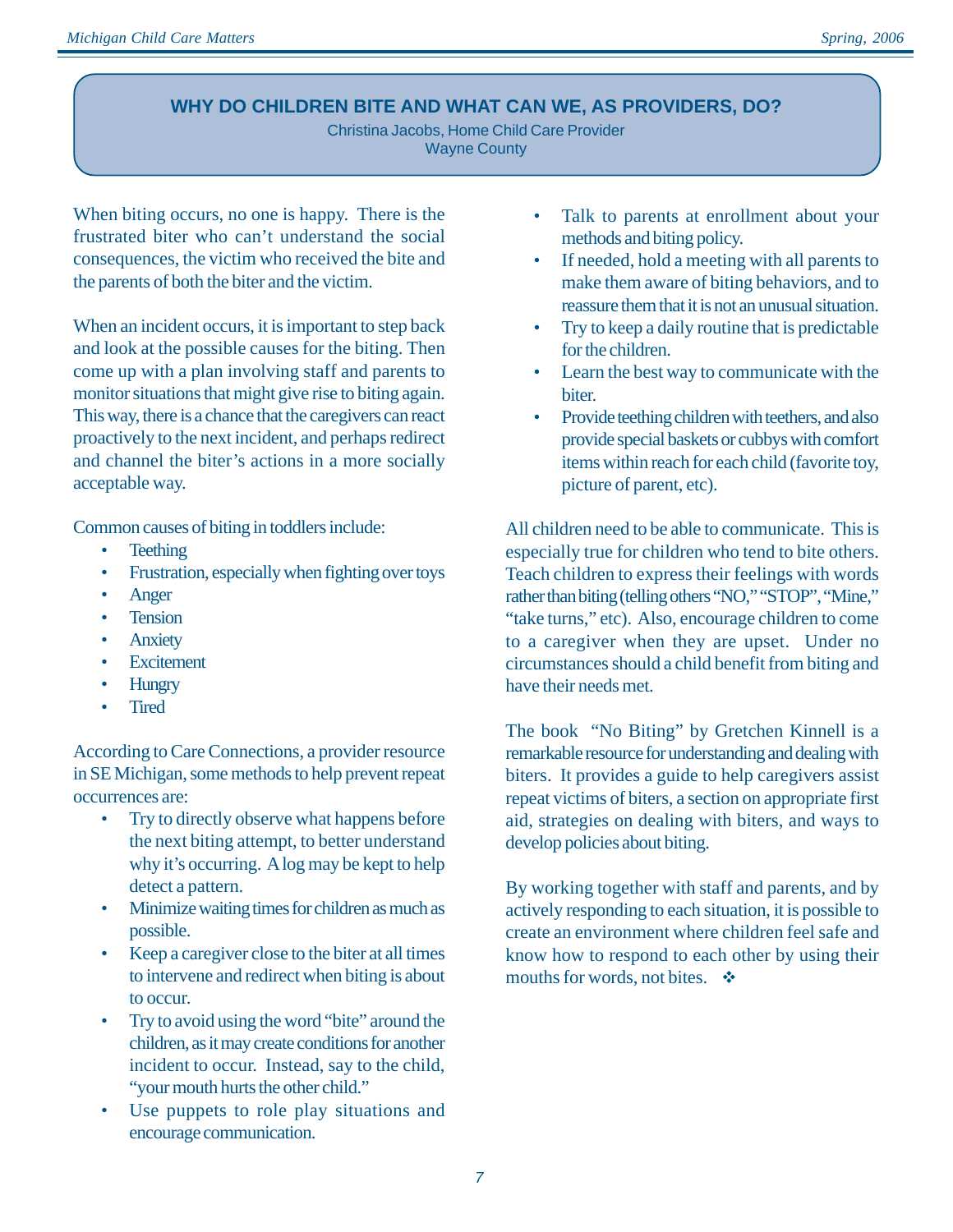## **WHY DO CHILDREN BITE AND WHAT CAN WE, AS PROVIDERS, DO?**

Christina Jacobs, Home Child Care Provider Wayne County

When biting occurs, no one is happy. There is the frustrated biter who can't understand the social consequences, the victim who received the bite and the parents of both the biter and the victim.

When an incident occurs, it is important to step back and look at the possible causes for the biting. Then come up with a plan involving staff and parents to monitor situations that might give rise to biting again. This way, there is a chance that the caregivers can react proactively to the next incident, and perhaps redirect and channel the biter's actions in a more socially acceptable way.

Common causes of biting in toddlers include:

- Teething
- Frustration, especially when fighting over toys
- Anger
- Tension
- Anxiety
- Excitement
- Hungry
- Tired

According to Care Connections, a provider resource in SE Michigan, some methods to help prevent repeat occurrences are:

- Try to directly observe what happens before the next biting attempt, to better understand why it's occurring. A log may be kept to help detect a pattern.
- Minimize waiting times for children as much as possible.
- Keep a caregiver close to the biter at all times to intervene and redirect when biting is about to occur.
- Try to avoid using the word "bite" around the children, as it may create conditions for another incident to occur. Instead, say to the child, "your mouth hurts the other child."
- Use puppets to role play situations and encourage communication.
- Talk to parents at enrollment about your methods and biting policy.
- If needed, hold a meeting with all parents to make them aware of biting behaviors, and to reassure them that it is not an unusual situation.
- Try to keep a daily routine that is predictable for the children.
- Learn the best way to communicate with the biter.
- Provide teething children with teethers, and also provide special baskets or cubbys with comfort items within reach for each child (favorite toy, picture of parent, etc).

All children need to be able to communicate. This is especially true for children who tend to bite others. Teach children to express their feelings with words rather than biting (telling others "NO," "STOP", "Mine," "take turns," etc). Also, encourage children to come to a caregiver when they are upset. Under no circumstances should a child benefit from biting and have their needs met.

The book "No Biting" by Gretchen Kinnell is a remarkable resource for understanding and dealing with biters. It provides a guide to help caregivers assist repeat victims of biters, a section on appropriate first aid, strategies on dealing with biters, and ways to develop policies about biting.

By working together with staff and parents, and by actively responding to each situation, it is possible to create an environment where children feel safe and know how to respond to each other by using their mouths for words, not bites.  $\cdot \cdot \cdot$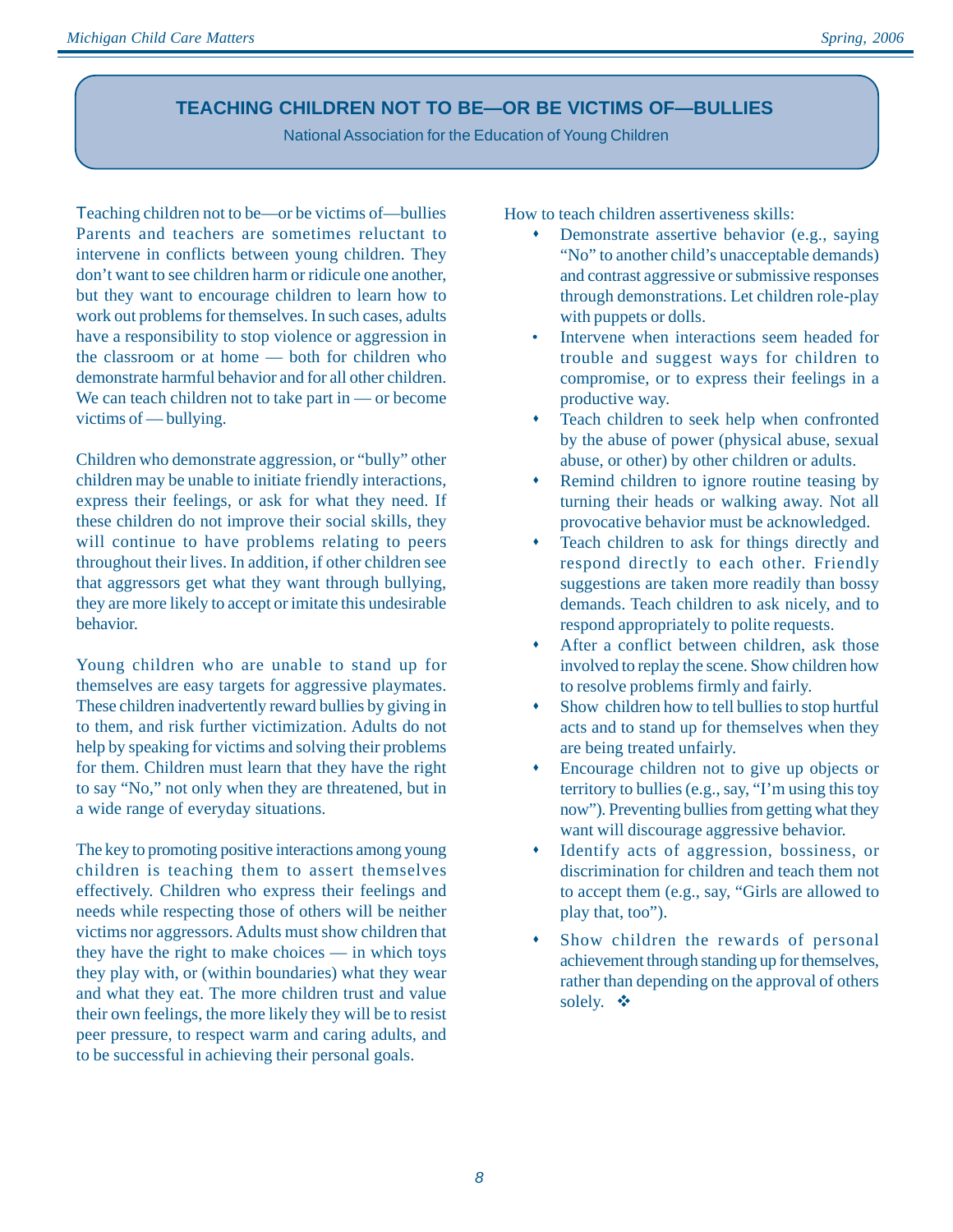## **TEACHING CHILDREN NOT TO BE—OR BE VICTIMS OF—BULLIES**

National Association for the Education of Young Children

Teaching children not to be—or be victims of—bullies Parents and teachers are sometimes reluctant to intervene in conflicts between young children. They don't want to see children harm or ridicule one another, but they want to encourage children to learn how to work out problems for themselves. In such cases, adults have a responsibility to stop violence or aggression in the classroom or at home — both for children who demonstrate harmful behavior and for all other children. We can teach children not to take part in — or become victims of — bullying.

Children who demonstrate aggression, or "bully" other children may be unable to initiate friendly interactions, express their feelings, or ask for what they need. If these children do not improve their social skills, they will continue to have problems relating to peers throughout their lives. In addition, if other children see that aggressors get what they want through bullying, they are more likely to accept or imitate this undesirable behavior.

Young children who are unable to stand up for themselves are easy targets for aggressive playmates. These children inadvertently reward bullies by giving in to them, and risk further victimization. Adults do not help by speaking for victims and solving their problems for them. Children must learn that they have the right to say "No," not only when they are threatened, but in a wide range of everyday situations.

The key to promoting positive interactions among young children is teaching them to assert themselves effectively. Children who express their feelings and needs while respecting those of others will be neither victims nor aggressors. Adults must show children that they have the right to make choices — in which toys they play with, or (within boundaries) what they wear and what they eat. The more children trust and value their own feelings, the more likely they will be to resist peer pressure, to respect warm and caring adults, and to be successful in achieving their personal goals.

How to teach children assertiveness skills:

- Demonstrate assertive behavior (e.g., saying "No" to another child's unacceptable demands) and contrast aggressive or submissive responses through demonstrations. Let children role-play with puppets or dolls.
- Intervene when interactions seem headed for trouble and suggest ways for children to compromise, or to express their feelings in a productive way.
- Teach children to seek help when confronted by the abuse of power (physical abuse, sexual abuse, or other) by other children or adults.
- Remind children to ignore routine teasing by turning their heads or walking away. Not all provocative behavior must be acknowledged.
- Teach children to ask for things directly and respond directly to each other. Friendly suggestions are taken more readily than bossy demands. Teach children to ask nicely, and to respond appropriately to polite requests.
- After a conflict between children, ask those involved to replay the scene. Show children how to resolve problems firmly and fairly.
- Show children how to tell bullies to stop hurtful acts and to stand up for themselves when they are being treated unfairly.
- Encourage children not to give up objects or territory to bullies (e.g., say, "I'm using this toy now"). Preventing bullies from getting what they want will discourage aggressive behavior.
- Identify acts of aggression, bossiness, or discrimination for children and teach them not to accept them (e.g., say, "Girls are allowed to play that, too").
- Show children the rewards of personal achievement through standing up for themselves, rather than depending on the approval of others solely.  $\cdot \cdot \cdot$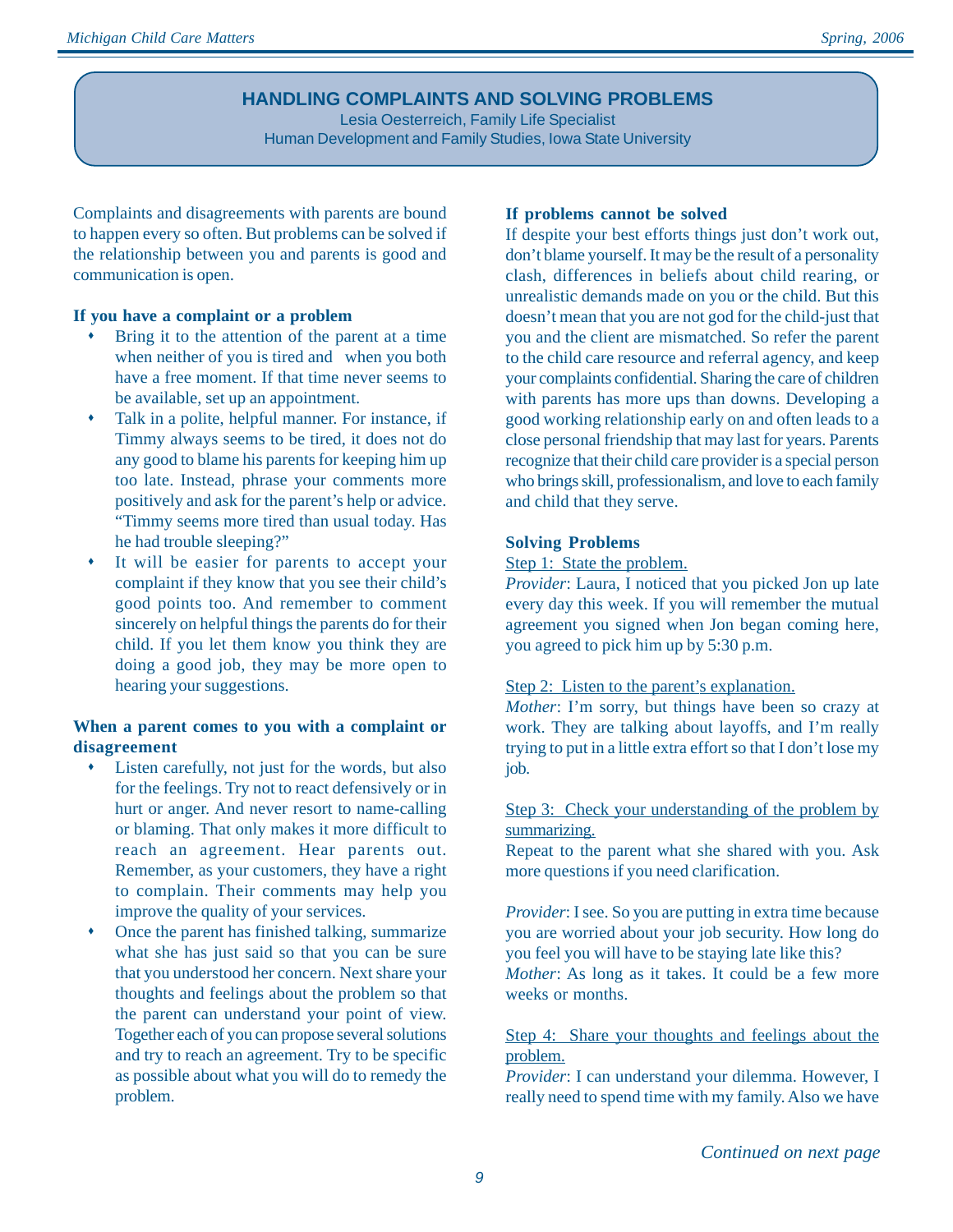## **HANDLING COMPLAINTS AND SOLVING PROBLEMS**

Lesia Oesterreich, Family Life Specialist Human Development and Family Studies, Iowa State University

Complaints and disagreements with parents are bound to happen every so often. But problems can be solved if the relationship between you and parents is good and communication is open.

#### **If you have a complaint or a problem**

- Bring it to the attention of the parent at a time when neither of you is tired and when you both have a free moment. If that time never seems to be available, set up an appointment.
- Talk in a polite, helpful manner. For instance, if Timmy always seems to be tired, it does not do any good to blame his parents for keeping him up too late. Instead, phrase your comments more positively and ask for the parent's help or advice. "Timmy seems more tired than usual today. Has he had trouble sleeping?"
- It will be easier for parents to accept your complaint if they know that you see their child's good points too. And remember to comment sincerely on helpful things the parents do for their child. If you let them know you think they are doing a good job, they may be more open to hearing your suggestions.

#### **When a parent comes to you with a complaint or disagreement**

- $\bullet$  Listen carefully, not just for the words, but also for the feelings. Try not to react defensively or in hurt or anger. And never resort to name-calling or blaming. That only makes it more difficult to reach an agreement. Hear parents out. Remember, as your customers, they have a right to complain. Their comments may help you improve the quality of your services.
- Once the parent has finished talking, summarize what she has just said so that you can be sure that you understood her concern. Next share your thoughts and feelings about the problem so that the parent can understand your point of view. Together each of you can propose several solutions and try to reach an agreement. Try to be specific as possible about what you will do to remedy the problem.

#### **If problems cannot be solved**

If despite your best efforts things just don't work out, don't blame yourself. It may be the result of a personality clash, differences in beliefs about child rearing, or unrealistic demands made on you or the child. But this doesn't mean that you are not god for the child-just that you and the client are mismatched. So refer the parent to the child care resource and referral agency, and keep your complaints confidential. Sharing the care of children with parents has more ups than downs. Developing a good working relationship early on and often leads to a close personal friendship that may last for years. Parents recognize that their child care provider is a special person who brings skill, professionalism, and love to each family and child that they serve.

#### **Solving Problems**

#### Step 1: State the problem.

*Provider*: Laura, I noticed that you picked Jon up late every day this week. If you will remember the mutual agreement you signed when Jon began coming here, you agreed to pick him up by 5:30 p.m.

#### Step 2: Listen to the parent's explanation.

*Mother*: I'm sorry, but things have been so crazy at work. They are talking about layoffs, and I'm really trying to put in a little extra effort so that I don't lose my job.

#### Step 3: Check your understanding of the problem by summarizing.

Repeat to the parent what she shared with you. Ask more questions if you need clarification.

*Provider*: I see. So you are putting in extra time because you are worried about your job security. How long do you feel you will have to be staying late like this? *Mother*: As long as it takes. It could be a few more weeks or months.

## Step 4: Share your thoughts and feelings about the problem.

*Provider*: I can understand your dilemma. However, I really need to spend time with my family. Also we have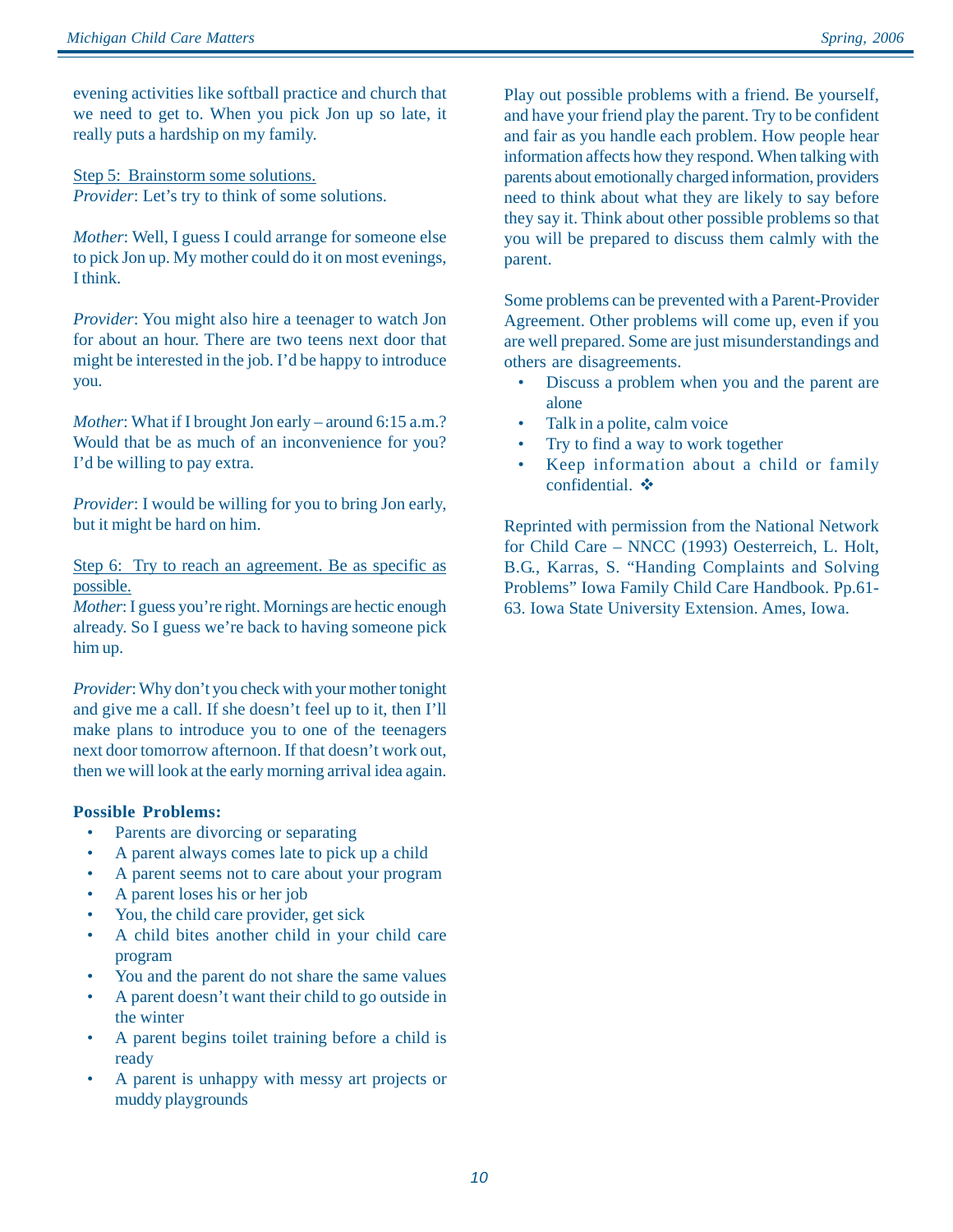evening activities like softball practice and church that we need to get to. When you pick Jon up so late, it really puts a hardship on my family.

Step 5: Brainstorm some solutions. *Provider*: Let's try to think of some solutions.

*Mother*: Well, I guess I could arrange for someone else to pick Jon up. My mother could do it on most evenings, I think.

*Provider*: You might also hire a teenager to watch Jon for about an hour. There are two teens next door that might be interested in the job. I'd be happy to introduce you.

*Mother*: What if I brought Jon early – around 6:15 a.m.? Would that be as much of an inconvenience for you? I'd be willing to pay extra.

*Provider*: I would be willing for you to bring Jon early, but it might be hard on him.

Step 6: Try to reach an agreement. Be as specific as possible.

*Mother*: I guess you're right. Mornings are hectic enough already. So I guess we're back to having someone pick him up.

*Provider*: Why don't you check with your mother tonight and give me a call. If she doesn't feel up to it, then I'll make plans to introduce you to one of the teenagers next door tomorrow afternoon. If that doesn't work out, then we will look at the early morning arrival idea again.

#### **Possible Problems:**

- Parents are divorcing or separating
- A parent always comes late to pick up a child
- A parent seems not to care about your program
- A parent loses his or her job
- You, the child care provider, get sick
- A child bites another child in your child care program
- You and the parent do not share the same values
- A parent doesn't want their child to go outside in the winter
- A parent begins toilet training before a child is ready
- A parent is unhappy with messy art projects or muddy playgrounds

Play out possible problems with a friend. Be yourself, and have your friend play the parent. Try to be confident and fair as you handle each problem. How people hear information affects how they respond. When talking with parents about emotionally charged information, providers need to think about what they are likely to say before they say it. Think about other possible problems so that you will be prepared to discuss them calmly with the parent.

Some problems can be prevented with a Parent-Provider Agreement. Other problems will come up, even if you are well prepared. Some are just misunderstandings and others are disagreements.

- Discuss a problem when you and the parent are alone
- Talk in a polite, calm voice
- Try to find a way to work together
- Keep information about a child or family confidential.  $\clubsuit$

Reprinted with permission from the National Network for Child Care – NNCC (1993) Oesterreich, L. Holt, B.G., Karras, S. "Handing Complaints and Solving Problems" Iowa Family Child Care Handbook. Pp.61- 63. Iowa State University Extension. Ames, Iowa.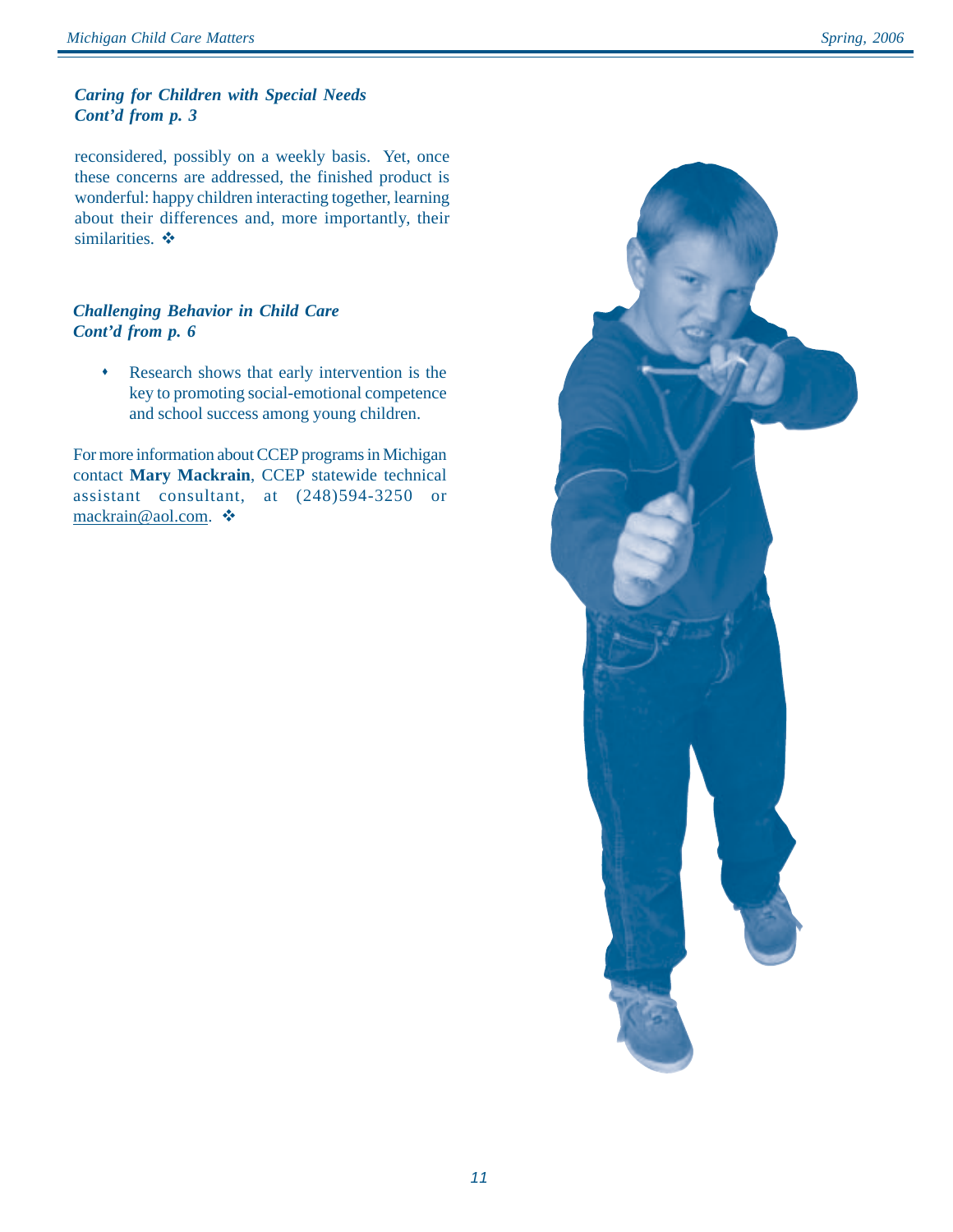#### *Caring for Children with Special Needs Cont'd from p. 3*

reconsidered, possibly on a weekly basis. Yet, once these concerns are addressed, the finished product is wonderful: happy children interacting together, learning about their differences and, more importantly, their similarities.  $\triangleleft$ 

#### *Challenging Behavior in Child Care Cont'd from p. 6*

\* Research shows that early intervention is the key to promoting social-emotional competence and school success among young children.

For more information about CCEP programs in Michigan contact **Mary Mackrain**, CCEP statewide technical assistant consultant, at (248)594-3250 or mackrain@aol.com. ❖

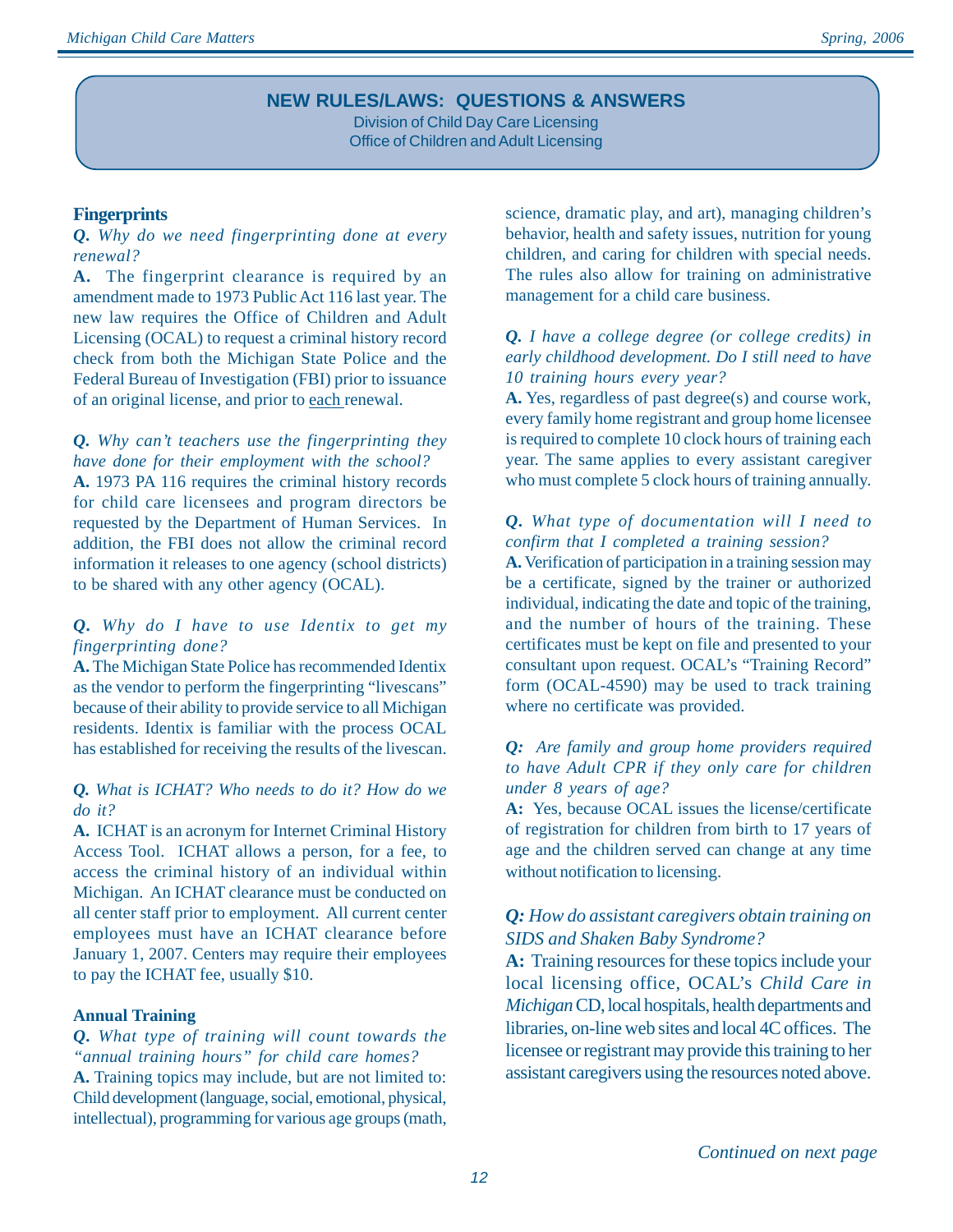## **NEW RULES/LAWS: QUESTIONS & ANSWERS**

Division of Child Day Care Licensing Office of Children and Adult Licensing

#### **Fingerprints**

#### *Q. Why do we need fingerprinting done at every renewal?*

**A.** The fingerprint clearance is required by an amendment made to 1973 Public Act 116 last year. The new law requires the Office of Children and Adult Licensing (OCAL) to request a criminal history record check from both the Michigan State Police and the Federal Bureau of Investigation (FBI) prior to issuance of an original license, and prior to each renewal.

## *Q. Why can't teachers use the fingerprinting they have done for their employment with the school?*

**A.** 1973 PA 116 requires the criminal history records for child care licensees and program directors be requested by the Department of Human Services. In addition, the FBI does not allow the criminal record information it releases to one agency (school districts) to be shared with any other agency (OCAL).

#### *Q. Why do I have to use Identix to get my fingerprinting done?*

**A.** The Michigan State Police has recommended Identix as the vendor to perform the fingerprinting "livescans" because of their ability to provide service to all Michigan residents. Identix is familiar with the process OCAL has established for receiving the results of the livescan.

#### *Q. What is ICHAT? Who needs to do it? How do we do it?*

**A.** ICHAT is an acronym for Internet Criminal History Access Tool. ICHAT allows a person, for a fee, to access the criminal history of an individual within Michigan. An ICHAT clearance must be conducted on all center staff prior to employment. All current center employees must have an ICHAT clearance before January 1, 2007. Centers may require their employees to pay the ICHAT fee, usually \$10.

#### **Annual Training**

#### *Q. What type of training will count towards the "annual training hours" for child care homes?* **A.** Training topics may include, but are not limited to:

Child development (language, social, emotional, physical, intellectual), programming for various age groups (math, science, dramatic play, and art), managing children's behavior, health and safety issues, nutrition for young children, and caring for children with special needs. The rules also allow for training on administrative management for a child care business.

#### *Q. I have a college degree (or college credits) in early childhood development. Do I still need to have 10 training hours every year?*

**A.** Yes, regardless of past degree(s) and course work, every family home registrant and group home licensee is required to complete 10 clock hours of training each year. The same applies to every assistant caregiver who must complete 5 clock hours of training annually.

#### *Q. What type of documentation will I need to confirm that I completed a training session?*

**A.** Verification of participation in a training session may be a certificate, signed by the trainer or authorized individual, indicating the date and topic of the training, and the number of hours of the training. These certificates must be kept on file and presented to your consultant upon request. OCAL's "Training Record" form (OCAL-4590) may be used to track training where no certificate was provided.

#### *Q: Are family and group home providers required to have Adult CPR if they only care for children under 8 years of age?*

**A:** Yes, because OCAL issues the license/certificate of registration for children from birth to 17 years of age and the children served can change at any time without notification to licensing.

## *Q: How do assistant caregivers obtain training on SIDS and Shaken Baby Syndrome?*

**A:** Training resources for these topics include your local licensing office, OCAL's *Child Care in Michigan* CD, local hospitals, health departments and libraries, on-line web sites and local 4C offices. The licensee or registrant may provide this training to her assistant caregivers using the resources noted above.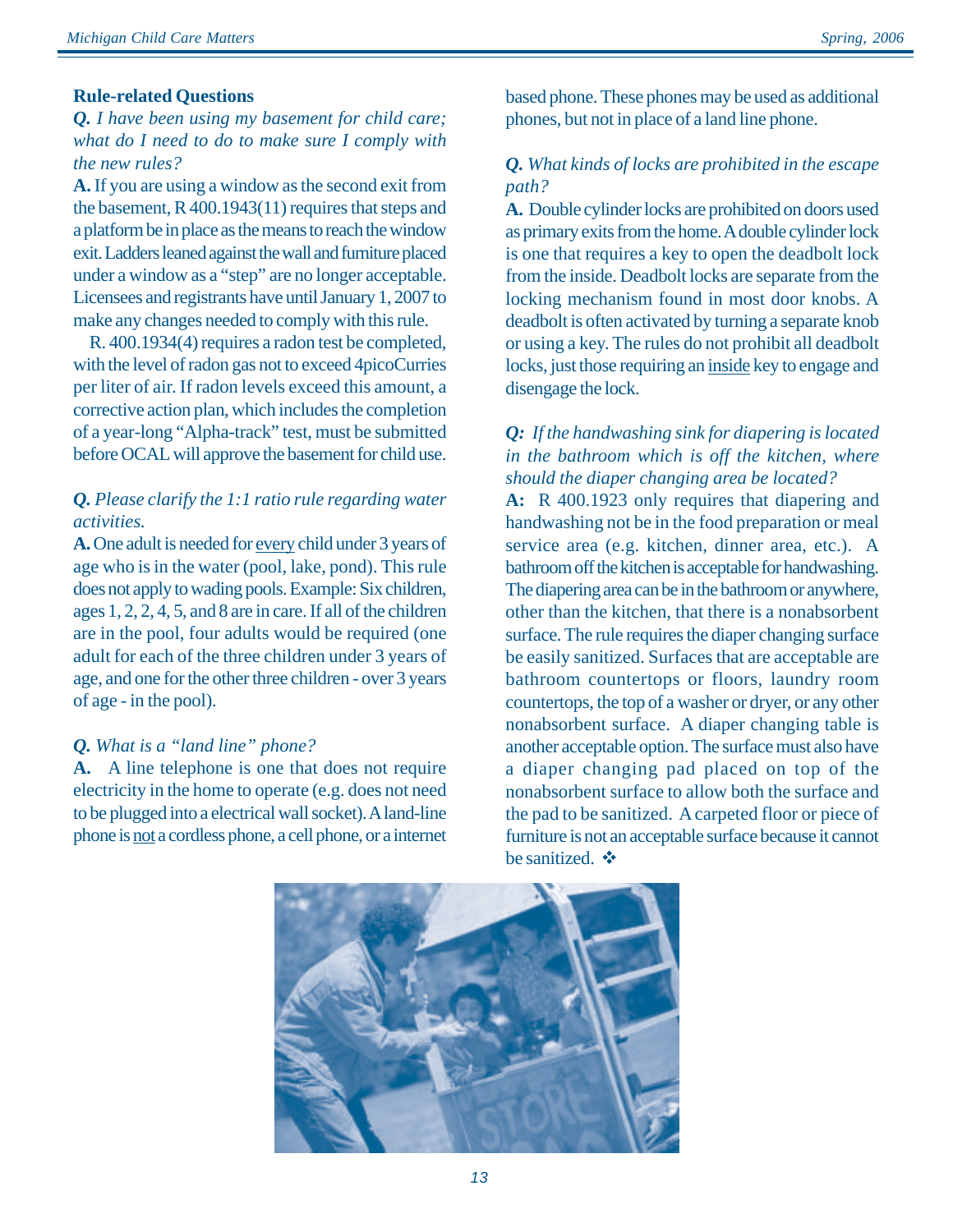#### **Rule-related Questions**

## *Q. I have been using my basement for child care; what do I need to do to make sure I comply with the new rules?*

**A.** If you are using a window as the second exit from the basement, R 400.1943(11) requires that steps and a platform be in place as the means to reach the window exit. Ladders leaned against the wall and furniture placed under a window as a "step" are no longer acceptable. Licensees and registrants have until January 1, 2007 to make any changes needed to comply with this rule.

 R. 400.1934(4) requires a radon test be completed, with the level of radon gas not to exceed 4picoCurries per liter of air. If radon levels exceed this amount, a corrective action plan, which includes the completion of a year-long "Alpha-track" test, must be submitted before OCAL will approve the basement for child use.

## *Q. Please clarify the 1:1 ratio rule regarding water activities.*

**A.** One adult is needed for every child under 3 years of age who is in the water (pool, lake, pond). This rule does not apply to wading pools. Example: Six children, ages 1, 2, 2, 4, 5, and 8 are in care. If all of the children are in the pool, four adults would be required (one adult for each of the three children under 3 years of age, and one for the other three children - over 3 years of age - in the pool).

## *Q. What is a "land line" phone?*

**A.** A line telephone is one that does not require electricity in the home to operate (e.g. does not need to be plugged into a electrical wall socket). A land-line phone is not a cordless phone, a cell phone, or a internet based phone. These phones may be used as additional phones, but not in place of a land line phone.

#### *Q. What kinds of locks are prohibited in the escape path?*

**A.** Double cylinder locks are prohibited on doors used as primary exits from the home. A double cylinder lock is one that requires a key to open the deadbolt lock from the inside. Deadbolt locks are separate from the locking mechanism found in most door knobs. A deadbolt is often activated by turning a separate knob or using a key. The rules do not prohibit all deadbolt locks, just those requiring an inside key to engage and disengage the lock.

## *Q: If the handwashing sink for diapering is located in the bathroom which is off the kitchen, where should the diaper changing area be located?*

**A:** R 400.1923 only requires that diapering and handwashing not be in the food preparation or meal service area (e.g. kitchen, dinner area, etc.). A bathroom off the kitchen is acceptable for handwashing. The diapering area can be in the bathroom or anywhere, other than the kitchen, that there is a nonabsorbent surface. The rule requires the diaper changing surface be easily sanitized. Surfaces that are acceptable are bathroom countertops or floors, laundry room countertops, the top of a washer or dryer, or any other nonabsorbent surface. A diaper changing table is another acceptable option. The surface must also have a diaper changing pad placed on top of the nonabsorbent surface to allow both the surface and the pad to be sanitized. A carpeted floor or piece of furniture is not an acceptable surface because it cannot be sanitized.  $\bullet$ 

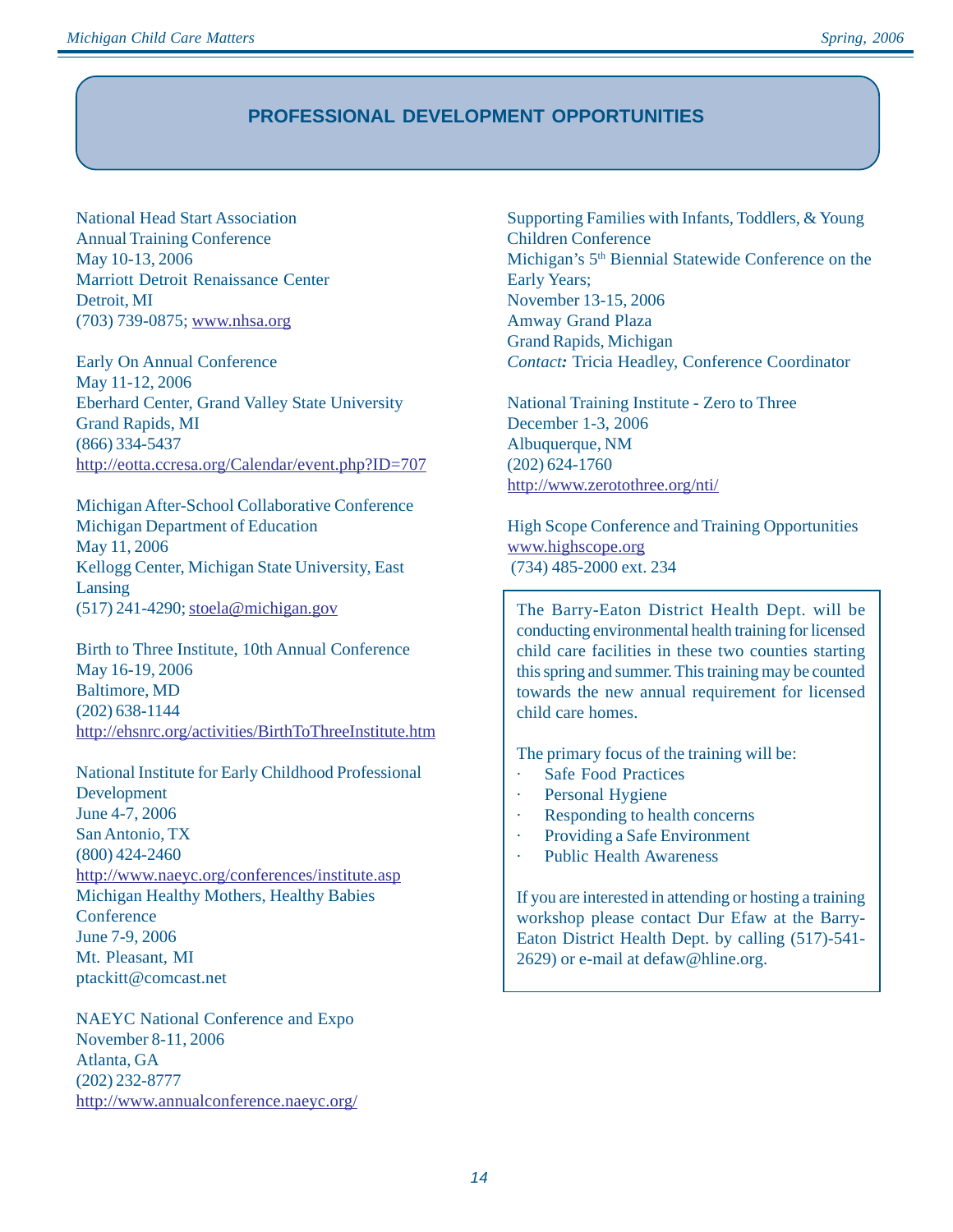## **PROFESSIONAL DEVELOPMENT OPPORTUNITIES**

National Head Start Association Annual Training Conference May 10-13, 2006 Marriott Detroit Renaissance Center Detroit, MI (703) 739-0875; www.nhsa.org

Early On Annual Conference May 11-12, 2006 Eberhard Center, Grand Valley State University Grand Rapids, MI (866) 334-5437 http://eotta.ccresa.org/Calendar/event.php?ID=707

Michigan After-School Collaborative Conference Michigan Department of Education May 11, 2006 Kellogg Center, Michigan State University, East Lansing  $(517)$  241-4290; stoela@michigan.gov

Birth to Three Institute, 10th Annual Conference May 16-19, 2006 Baltimore, MD (202) 638-1144 http://ehsnrc.org/activities/BirthToThreeInstitute.htm

National Institute for Early Childhood Professional Development June 4-7, 2006 San Antonio, TX (800) 424-2460 http://www.naeyc.org/conferences/institute.asp Michigan Healthy Mothers, Healthy Babies **Conference** June 7-9, 2006 Mt. Pleasant, MI ptackitt@comcast.net

NAEYC National Conference and Expo November 8-11, 2006 Atlanta, GA (202) 232-8777 http://www.annualconference.naeyc.org/ Supporting Families with Infants, Toddlers, & Young Children Conference Michigan's 5<sup>th</sup> Biennial Statewide Conference on the Early Years; November 13-15, 2006 Amway Grand Plaza Grand Rapids, Michigan *Contact:* Tricia Headley, Conference Coordinator

National Training Institute - Zero to Three December 1-3, 2006 Albuquerque, NM (202) 624-1760 http://www.zerotothree.org/nti/

High Scope Conference and Training Opportunities www.highscope.org (734) 485-2000 ext. 234

The Barry-Eaton District Health Dept. will be conducting environmental health training for licensed child care facilities in these two counties starting this spring and summer. This training may be counted towards the new annual requirement for licensed child care homes.

The primary focus of the training will be:

- **Safe Food Practices**
- · Personal Hygiene
- · Responding to health concerns
- Providing a Safe Environment
- Public Health Awareness

If you are interested in attending or hosting a training workshop please contact Dur Efaw at the Barry-Eaton District Health Dept. by calling (517)-541- 2629) or e-mail at defaw@hline.org.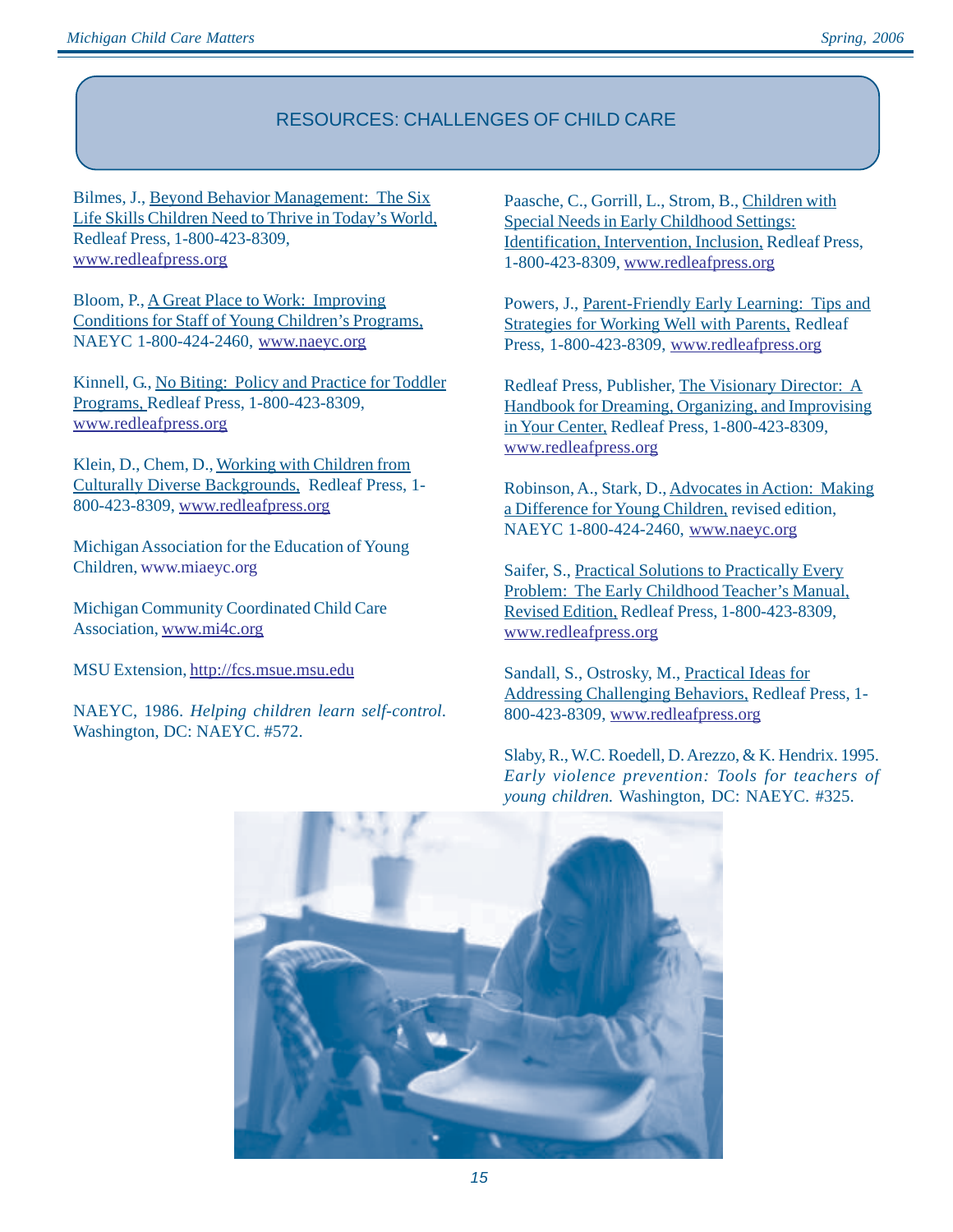# RESOURCES: CHALLENGES OF CHILD CARE

Bilmes, J., Beyond Behavior Management: The Six Life Skills Children Need to Thrive in Today's World, Redleaf Press, 1-800-423-8309, www.redleafpress.org

Bloom, P., A Great Place to Work: Improving Conditions for Staff of Young Children's Programs, NAEYC 1-800-424-2460, www.naeyc.org

Kinnell, G., No Biting: Policy and Practice for Toddler Programs, Redleaf Press, 1-800-423-8309, www.redleafpress.org

Klein, D., Chem, D., Working with Children from Culturally Diverse Backgrounds, Redleaf Press, 1- 800-423-8309, www.redleafpress.org

Michigan Association for the Education of Young Children, www.miaeyc.org

Michigan Community Coordinated Child Care Association, www.mi4c.org

MSU Extension, http://fcs.msue.msu.edu

NAEYC, 1986. *Helping children learn self-control.* Washington, DC: NAEYC. #572.

Paasche, C., Gorrill, L., Strom, B., Children with Special Needs in Early Childhood Settings: Identification, Intervention, Inclusion, Redleaf Press, 1-800-423-8309, www.redleafpress.org

Powers, J., Parent-Friendly Early Learning: Tips and Strategies for Working Well with Parents, Redleaf Press, 1-800-423-8309, www.redleafpress.org

Redleaf Press, Publisher, The Visionary Director: A Handbook for Dreaming, Organizing, and Improvising in Your Center, Redleaf Press, 1-800-423-8309, www.redleafpress.org

Robinson, A., Stark, D., Advocates in Action: Making a Difference for Young Children, revised edition, NAEYC 1-800-424-2460, www.naeyc.org

Saifer, S., Practical Solutions to Practically Every Problem: The Early Childhood Teacher's Manual, Revised Edition, Redleaf Press, 1-800-423-8309, www.redleafpress.org

Sandall, S., Ostrosky, M., Practical Ideas for Addressing Challenging Behaviors, Redleaf Press, 1- 800-423-8309, www.redleafpress.org

Slaby, R., W.C. Roedell, D. Arezzo, & K. Hendrix. 1995. *Early violence prevention: Tools for teachers of young children.* Washington, DC: NAEYC. #325.